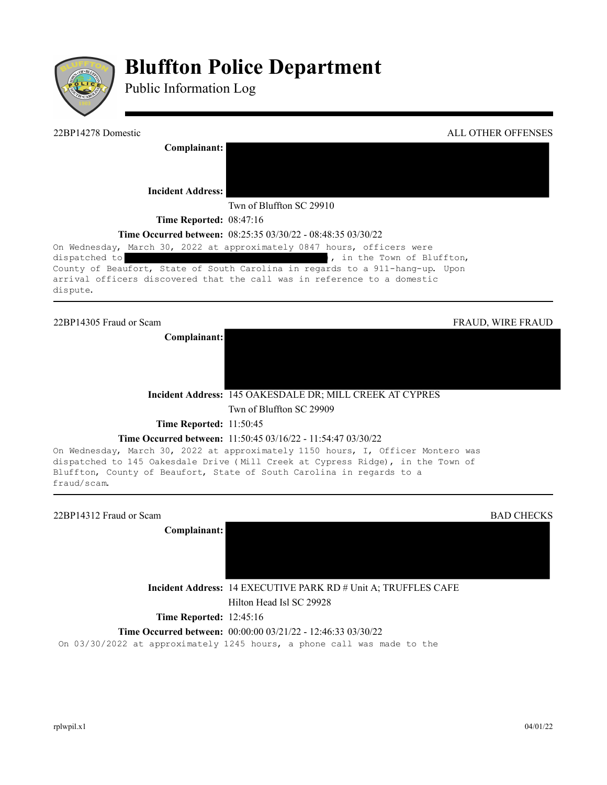

# **Bluffton Police Department**

Public Information Log

| 22BP14278 Domestic                                                                                                                                        | ALL OTHER OFFENSES       |
|-----------------------------------------------------------------------------------------------------------------------------------------------------------|--------------------------|
| Complainant:                                                                                                                                              |                          |
| <b>Incident Address:</b>                                                                                                                                  |                          |
| Twn of Bluffton SC 29910                                                                                                                                  |                          |
| <b>Time Reported: 08:47:16</b>                                                                                                                            |                          |
| <b>Time Occurred between:</b> 08:25:35 03/30/22 - 08:48:35 03/30/22                                                                                       |                          |
| On Wednesday, March 30, 2022 at approximately 0847 hours, officers were                                                                                   |                          |
| , in the Town of Bluffton,<br>dispatched to                                                                                                               |                          |
| County of Beaufort, State of South Carolina in regards to a 911-hang-up. Upon<br>arrival officers discovered that the call was in reference to a domestic |                          |
| dispute.                                                                                                                                                  |                          |
|                                                                                                                                                           |                          |
| 22BP14305 Fraud or Scam                                                                                                                                   | <b>FRAUD, WIRE FRAUD</b> |
| Complainant:                                                                                                                                              |                          |

**Incident Address:** 145 OAKESDALE DR; MILL CREEK AT CYPRES Twn of Bluffton SC 29909

**Time Reported:** 11:50:45

#### **Time Occurred between:** 11:50:45 03/16/22 - 11:54:47 03/30/22

On Wednesday, March 30, 2022 at approximately 1150 hours, I, Officer Montero was dispatched to 145 Oakesdale Drive (Mill Creek at Cypress Ridge), in the Town of Bluffton, County of Beaufort, State of South Carolina in regards to a fraud/scam.

| 22BP14312 Fraud or Scam<br>Complainant: | <b>BAD CHECKS</b>                                                                                 |
|-----------------------------------------|---------------------------------------------------------------------------------------------------|
|                                         | <b>Incident Address: 14 EXECUTIVE PARK RD # Unit A; TRUFFLES CAFE</b><br>Hilton Head Isl SC 29928 |
| <b>Time Reported: 12:45:16</b>          |                                                                                                   |
|                                         | <b>Time Occurred between:</b> $00:00:0003/21/22 - 12:46:3303/30/22$                               |
|                                         | On 03/30/2022 at approximately 1245 hours, a phone call was made to the                           |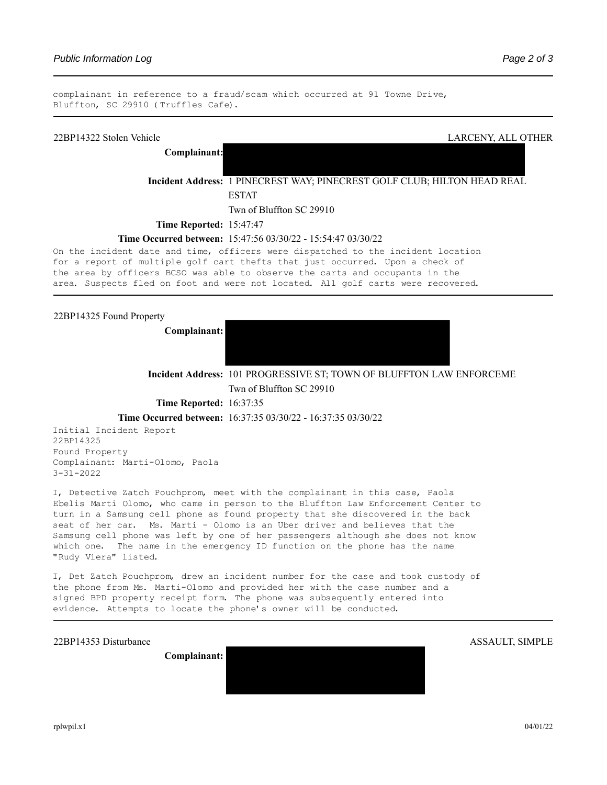complainant in reference to a fraud/scam which occurred at 91 Towne Drive, Bluffton, SC 29910 (Truffles Cafe).

# 22BP14322 Stolen Vehicle LARCENY, ALL OTHER **Complainant: Incident Address:** 1 PINECREST WAY; PINECREST GOLF CLUB; HILTON HEAD REAL ESTAT Twn of Bluffton SC 29910 **Time Reported:** 15:47:47 **Time Occurred between:** 15:47:56 03/30/22 - 15:54:47 03/30/22 On the incident date and time, officers were dispatched to the incident location for a report of multiple golf cart thefts that just occurred. Upon a check of the area by officers BCSO was able to observe the carts and occupants in the area. Suspects fled on foot and were not located. All golf carts were recovered.

22BP14325 Found Property

**Complainant:** 



**Incident Address:** 101 PROGRESSIVE ST; TOWN OF BLUFFTON LAW ENFORCEME

Twn of Bluffton SC 29910

**Time Reported:** 16:37:35

**Time Occurred between:** 16:37:35 03/30/22 - 16:37:35 03/30/22

Initial Incident Report 22BP14325 Found Property Complainant: Marti-Olomo, Paola 3-31-2022

I, Detective Zatch Pouchprom, meet with the complainant in this case, Paola Ebelis Marti Olomo, who came in person to the Bluffton Law Enforcement Center to turn in a Samsung cell phone as found property that she discovered in the back seat of her car. Ms. Marti - Olomo is an Uber driver and believes that the Samsung cell phone was left by one of her passengers although she does not know which one. The name in the emergency ID function on the phone has the name "Rudy Viera" listed.

I, Det Zatch Pouchprom, drew an incident number for the case and took custody of the phone from Ms. Marti-Olomo and provided her with the case number and a signed BPD property receipt form. The phone was subsequently entered into evidence. Attempts to locate the phone's owner will be conducted.